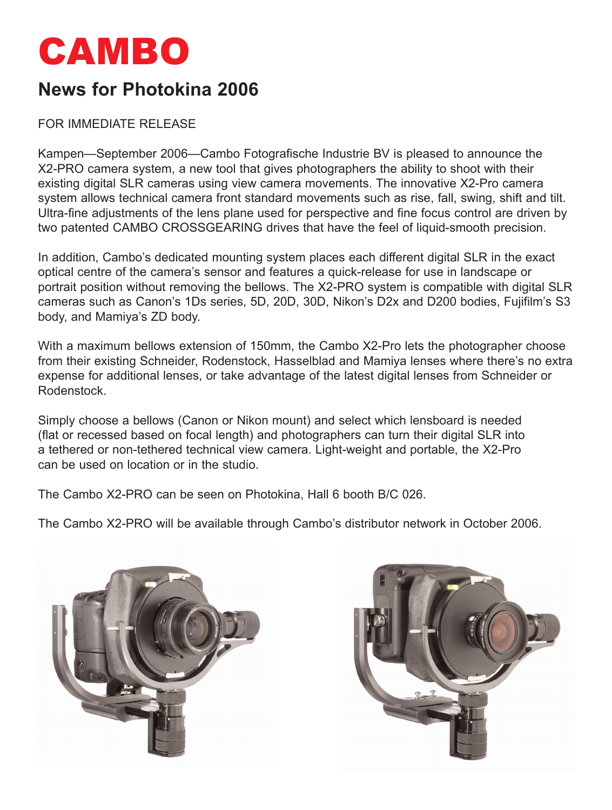

## **News for Photokina 2006**

FOR IMMEDIATE RELEASE

Kampen—September 2006—Cambo Fotografische Industrie BV is pleased to announce the X2-PRO camera system, a new tool that gives photographers the ability to shoot with their existing digital SLR cameras using view camera movements. The innovative X2-Pro camera system allows technical camera front standard movements such as rise, fall, swing, shift and tilt. Ultra-fine adjustments of the lens plane used for perspective and fine focus control are driven by two patented CAMBO CROSSGEARING drives that have the feel of liquid-smooth precision.

In addition, Cambo's dedicated mounting system places each different digital SLR in the exact optical centre of the camera's sensor and features a quick-release for use in landscape or portrait position without removing the bellows. The X2-PRO system is compatible with digital SLR cameras such as Canon's 1Ds series, 5D, 20D, 30D, Nikon's D2x and D200 bodies, Fujifilm's S3 body, and Mamiya's ZD body.

With a maximum bellows extension of 150mm, the Cambo X2-Pro lets the photographer choose from their existing Schneider, Rodenstock, Hasselblad and Mamiya lenses where there's no extra expense for additional lenses, or take advantage of the latest digital lenses from Schneider or Rodenstock.

Simply choose a bellows (Canon or Nikon mount) and select which lensboard is needed (flat or recessed based on focal length) and photographers can turn their digital SLR into a tethered or non-tethered technical view camera. Light-weight and portable, the X2-Pro can be used on location or in the studio.

The Cambo X2-PRO can be seen on Photokina, Hall 6 booth B/C 026.

The Cambo X2-PRO will be available through Cambo's distributor network in October 2006.